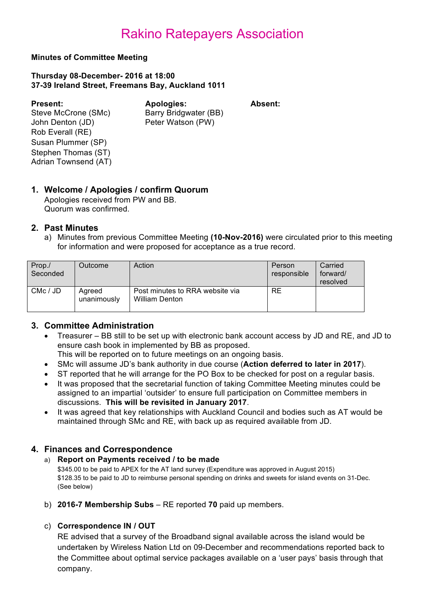#### **Minutes of Committee Meeting**

#### **Thursday 08-December- 2016 at 18:00 37-39 Ireland Street, Freemans Bay, Auckland 1011**

**Present: Apologies: Absent:** Steve McCrone (SMc) Barry Bridgwater (BB) John Denton (JD) Peter Watson (PW) Rob Everall (RE) Susan Plummer (SP) Stephen Thomas (ST) Adrian Townsend (AT)

# **1. Welcome / Apologies / confirm Quorum**

Apologies received from PW and BB. Quorum was confirmed.

### **2. Past Minutes**

a) Minutes from previous Committee Meeting **(10-Nov-2016)** were circulated prior to this meeting for information and were proposed for acceptance as a true record.

| Prop./<br>Seconded | Outcome               | Action                                                   | Person<br>responsible | Carried<br>forward/<br>resolved |
|--------------------|-----------------------|----------------------------------------------------------|-----------------------|---------------------------------|
| CMc / JD           | Agreed<br>unanimously | Post minutes to RRA website via<br><b>William Denton</b> | <b>RE</b>             |                                 |

## **3. Committee Administration**

- Treasurer BB still to be set up with electronic bank account access by JD and RE, and JD to ensure cash book in implemented by BB as proposed.
	- This will be reported on to future meetings on an ongoing basis.
- SMc will assume JD's bank authority in due course (**Action deferred to later in 2017**).
- ST reported that he will arrange for the PO Box to be checked for post on a regular basis.
- It was proposed that the secretarial function of taking Committee Meeting minutes could be assigned to an impartial 'outsider' to ensure full participation on Committee members in discussions. **This will be revisited in January 2017**.
- It was agreed that key relationships with Auckland Council and bodies such as AT would be maintained through SMc and RE, with back up as required available from JD.

# **4. Finances and Correspondence**

#### a) **Report on Payments received / to be made**

\$345.00 to be paid to APEX for the AT land survey (Expenditure was approved in August 2015) \$128.35 to be paid to JD to reimburse personal spending on drinks and sweets for island events on 31-Dec. (See below)

b) **2016-7 Membership Subs** – RE reported **70** paid up members.

## c) **Correspondence IN / OUT**

RE advised that a survey of the Broadband signal available across the island would be undertaken by Wireless Nation Ltd on 09-December and recommendations reported back to the Committee about optimal service packages available on a 'user pays' basis through that company.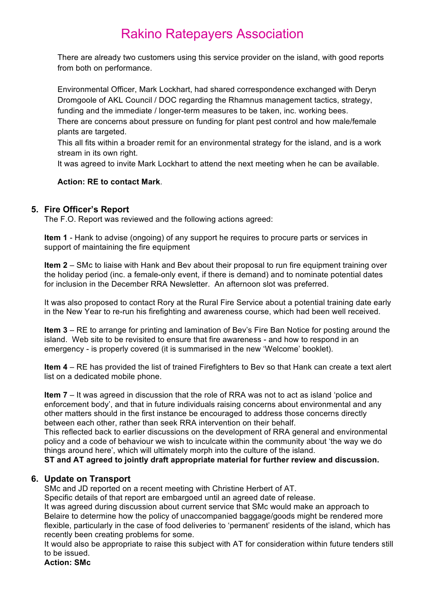There are already two customers using this service provider on the island, with good reports from both on performance.

Environmental Officer, Mark Lockhart, had shared correspondence exchanged with Deryn Dromgoole of AKL Council / DOC regarding the Rhamnus management tactics, strategy, funding and the immediate / longer-term measures to be taken, inc. working bees.

There are concerns about pressure on funding for plant pest control and how male/female plants are targeted.

This all fits within a broader remit for an environmental strategy for the island, and is a work stream in its own right.

It was agreed to invite Mark Lockhart to attend the next meeting when he can be available.

### **Action: RE to contact Mark**.

## **5. Fire Officer's Report**

The F.O. Report was reviewed and the following actions agreed:

**Item 1** - Hank to advise (ongoing) of any support he requires to procure parts or services in support of maintaining the fire equipment

**Item 2** – SMc to liaise with Hank and Bev about their proposal to run fire equipment training over the holiday period (inc. a female-only event, if there is demand) and to nominate potential dates for inclusion in the December RRA Newsletter. An afternoon slot was preferred.

It was also proposed to contact Rory at the Rural Fire Service about a potential training date early in the New Year to re-run his firefighting and awareness course, which had been well received.

**Item 3** – RE to arrange for printing and lamination of Bev's Fire Ban Notice for posting around the island. Web site to be revisited to ensure that fire awareness - and how to respond in an emergency - is properly covered (it is summarised in the new 'Welcome' booklet).

**Item 4** – RE has provided the list of trained Firefighters to Bev so that Hank can create a text alert list on a dedicated mobile phone.

**Item 7** – It was agreed in discussion that the role of RRA was not to act as island 'police and enforcement body', and that in future individuals raising concerns about environmental and any other matters should in the first instance be encouraged to address those concerns directly between each other, rather than seek RRA intervention on their behalf.

This reflected back to earlier discussions on the development of RRA general and environmental policy and a code of behaviour we wish to inculcate within the community about 'the way we do things around here', which will ultimately morph into the culture of the island.

**ST and AT agreed to jointly draft appropriate material for further review and discussion.**

## **6. Update on Transport**

SMc and JD reported on a recent meeting with Christine Herbert of AT.

Specific details of that report are embargoed until an agreed date of release.

It was agreed during discussion about current service that SMc would make an approach to Belaire to determine how the policy of unaccompanied baggage/goods might be rendered more flexible, particularly in the case of food deliveries to 'permanent' residents of the island, which has recently been creating problems for some.

It would also be appropriate to raise this subject with AT for consideration within future tenders still to be issued.

**Action: SMc**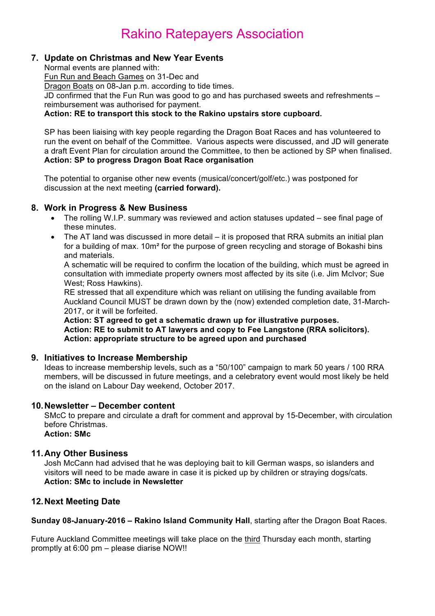## **7. Update on Christmas and New Year Events**

Normal events are planned with: Fun Run and Beach Games on 31-Dec and Dragon Boats on 08-Jan p.m. according to tide times. JD confirmed that the Fun Run was good to go and has purchased sweets and refreshments – reimbursement was authorised for payment. **Action: RE to transport this stock to the Rakino upstairs store cupboard.**

# SP has been liaising with key people regarding the Dragon Boat Races and has volunteered to

run the event on behalf of the Committee. Various aspects were discussed, and JD will generate a draft Event Plan for circulation around the Committee, to then be actioned by SP when finalised. **Action: SP to progress Dragon Boat Race organisation**

The potential to organise other new events (musical/concert/golf/etc.) was postponed for discussion at the next meeting **(carried forward).**

# **8. Work in Progress & New Business**

- The rolling W.I.P. summary was reviewed and action statuses updated see final page of these minutes.
- The AT land was discussed in more detail it is proposed that RRA submits an initial plan for a building of max. 10m² for the purpose of green recycling and storage of Bokashi bins and materials.

A schematic will be required to confirm the location of the building, which must be agreed in consultation with immediate property owners most affected by its site (i.e. Jim McIvor; Sue West; Ross Hawkins).

RE stressed that all expenditure which was reliant on utilising the funding available from Auckland Council MUST be drawn down by the (now) extended completion date, 31-March-2017, or it will be forfeited.

**Action: ST agreed to get a schematic drawn up for illustrative purposes. Action: RE to submit to AT lawyers and copy to Fee Langstone (RRA solicitors). Action: appropriate structure to be agreed upon and purchased**

## **9. Initiatives to Increase Membership**

Ideas to increase membership levels, such as a "50/100" campaign to mark 50 years / 100 RRA members, will be discussed in future meetings, and a celebratory event would most likely be held on the island on Labour Day weekend, October 2017.

# **10.Newsletter – December content**

SMcC to prepare and circulate a draft for comment and approval by 15-December, with circulation before Christmas. **Action: SMc**

# **11.Any Other Business**

Josh McCann had advised that he was deploying bait to kill German wasps, so islanders and visitors will need to be made aware in case it is picked up by children or straying dogs/cats. **Action: SMc to include in Newsletter**

# **12.Next Meeting Date**

**Sunday 08-January-2016 – Rakino Island Community Hall**, starting after the Dragon Boat Races.

Future Auckland Committee meetings will take place on the third Thursday each month, starting promptly at 6:00 pm – please diarise NOW!!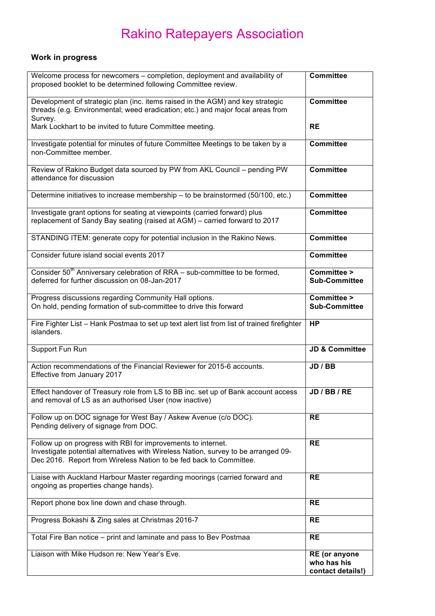# **Work in progress**

| Welcome process for newcomers - completion, deployment and availability of<br>proposed booklet to be determined following Committee review.                                                                              | <b>Committee</b>                                         |
|--------------------------------------------------------------------------------------------------------------------------------------------------------------------------------------------------------------------------|----------------------------------------------------------|
| Development of strategic plan (inc. items raised in the AGM) and key strategic<br>threads (e.g. Environmental; weed eradication; etc.) and major focal areas from<br>Survey.                                             | <b>Committee</b>                                         |
| Mark Lockhart to be invited to future Committee meeting.                                                                                                                                                                 | <b>RE</b>                                                |
| Investigate potential for minutes of future Committee Meetings to be taken by a<br>non-Committee member.                                                                                                                 | <b>Committee</b>                                         |
| Review of Rakino Budget data sourced by PW from AKL Council - pending PW<br>attendance for discussion                                                                                                                    | <b>Committee</b>                                         |
| Determine initiatives to increase membership - to be brainstormed (50/100, etc.)                                                                                                                                         | <b>Committee</b>                                         |
| Investigate grant options for seating at viewpoints (carried forward) plus<br>replacement of Sandy Bay seating (raised at AGM) - carried forward to 2017                                                                 | <b>Committee</b>                                         |
| STANDING ITEM: generate copy for potential inclusion in the Rakino News.                                                                                                                                                 | <b>Committee</b>                                         |
| Consider future island social events 2017                                                                                                                                                                                | <b>Committee</b>                                         |
| Consider 50 <sup>th</sup> Anniversary celebration of RRA - sub-committee to be formed,<br>deferred for further discussion on 08-Jan-2017                                                                                 | <b>Committee &gt;</b><br><b>Sub-Committee</b>            |
| Progress discussions regarding Community Hall options.<br>On hold, pending formation of sub-committee to drive this forward                                                                                              | <b>Committee &gt;</b><br><b>Sub-Committee</b>            |
| Fire Fighter List - Hank Postmaa to set up text alert list from list of trained firefighter<br>islanders.                                                                                                                | <b>HP</b>                                                |
| Support Fun Run                                                                                                                                                                                                          | <b>JD &amp; Committee</b>                                |
| Action recommendations of the Financial Reviewer for 2015-6 accounts.<br>Effective from January 2017                                                                                                                     | JD / BB                                                  |
| Effect handover of Treasury role from LS to BB inc. set up of Bank account access<br>and removal of LS as an authorised User (now inactive)                                                                              | JD / BB / RE                                             |
| Follow up on DOC signage for West Bay / Askew Avenue (c/o DOC).<br>Pending delivery of signage from DOC.                                                                                                                 | <b>RE</b>                                                |
| Follow up on progress with RBI for improvements to internet.<br>Investigate potential alternatives with Wireless Nation, survey to be arranged 09-<br>Dec 2016. Report from Wireless Nation to be fed back to Committee. | <b>RE</b>                                                |
| Liaise with Auckland Harbour Master regarding moorings (carried forward and<br>ongoing as properties change hands).                                                                                                      | <b>RE</b>                                                |
| Report phone box line down and chase through.                                                                                                                                                                            | <b>RE</b>                                                |
| Progress Bokashi & Zing sales at Christmas 2016-7                                                                                                                                                                        | <b>RE</b>                                                |
| Total Fire Ban notice - print and laminate and pass to Bev Postmaa                                                                                                                                                       | <b>RE</b>                                                |
| Liaison with Mike Hudson re: New Year's Eve.                                                                                                                                                                             | <b>RE</b> (or anyone<br>who has his<br>contact details!) |